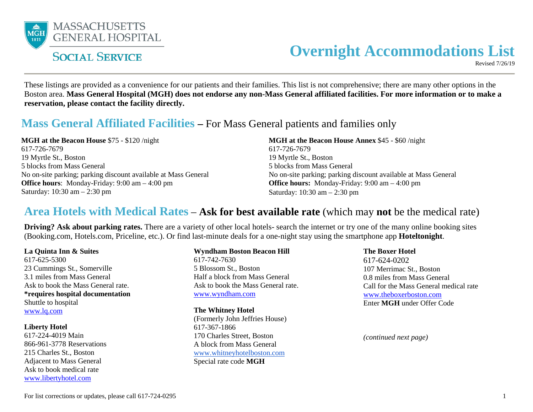

# **Overnight Accommodations List**

Revised 7/26/19

These listings are provided as a convenience for our patients and their families. This list is not comprehensive; there are many other options in the Boston area. **Mass General Hospital (MGH) does not endorse any non-Mass General affiliated facilities. For more information or to make a reservation, please contact the facility directly.**

### **Mass General Affiliated Facilities –** For Mass General patients and families only

**MGH at the Beacon House** \$75 - \$120 /night 617-726-7679 19 Myrtle St., Boston 5 blocks from Mass General No on-site parking; parking discount available at Mass General **Office hours**: Monday-Friday: 9:00 am – 4:00 pm Saturday: 10:30 am – 2:30 pm

**MGH at the Beacon House Annex** \$45 - \$60 /night 617-726-7679 19 Myrtle St., Boston 5 blocks from Mass General No on-site parking; parking discount available at Mass General **Office hours:** Monday-Friday: 9:00 am – 4:00 pm Saturday: 10:30 am – 2:30 pm

### **Area Hotels with Medical Rates** – **Ask for best available rate** (which may **not** be the medical rate)

**Driving? Ask about parking rates.** There are a variety of other local hotels- search the internet or try one of the many online booking sites (Booking.com, Hotels.com, Priceline, etc.). Or find last-minute deals for a one-night stay using the smartphone app **Hoteltonight**.

**La Quinta Inn & Suites**  617-625-5300 23 Cummings St., Somerville 3.1 miles from Mass General Ask to book the Mass General rate. **\*requires hospital documentation** Shuttle to hospital [www.lq.com](http://www.lq.com/)

**Liberty Hotel**  617-224-4019 Main 866-961-3778 Reservations 215 Charles St., Boston Adjacent to Mass General Ask to book medical rate [www.libertyhotel.com](http://www.libertyhotel.com/)

**Wyndham Boston Beacon Hill** 617-742-7630 5 Blossom St., Boston Half a block from Mass General Ask to book the Mass General rate. [www.wyndham.com](http://www.wyndham.com/hotels/massachusetts/boston/wyndham-boston-beacon-hill/hotel-overview?page=hotel-overview&hotel_id=47151&corporate_id=62182712&ref_id=WYNDHAMCORP)

**The Whitney Hotel** (Formerly John Jeffries House) 617-367-1866 170 Charles Street, Boston A block from Mass General [www.whitneyhotelboston.com](https://www.thewhitneyhotelboston.com/) Special rate code **MGH**

**The Boxer Hotel** 617-624-0202 107 Merrimac St., Boston 0.8 miles from Mass General Call for the Mass General medical rate [www.theboxerboston.com](https://theboxerboston.reztrip.com/classic/en/special_offer?accessCode=MGH&action=show&controller=landings&locale=en&offer_code=MGH&rate_code%5b%5d=MG16&rate_code%5b%5d=MG16&starting_page=special_offer&vr=3) Enter **MGH** under Offer Code

*(continued next page)*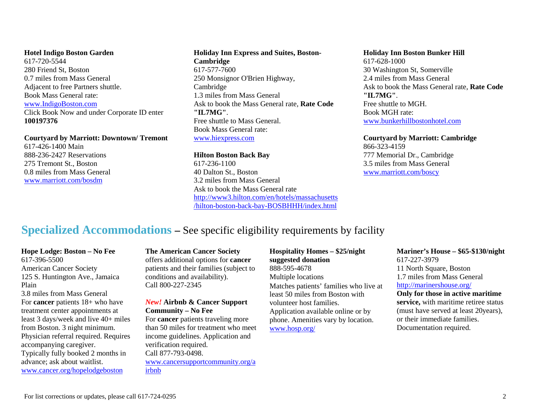#### **Hotel Indigo Boston Garden**

617-720-5544 280 Friend St, Boston 0.7 miles from Mass General Adjacent to free Partners shuttle. Book Mass General rate: [www.IndigoBoston.com](http://www.indigoboston.com/) Click Book Now and under Corporate ID enter **100197376**

**Courtyard by Marriott: Downtown/ Tremont**  617-426-1400 Main 888-236-2427 Reservations 275 Tremont St., Boston 0.8 miles from Mass General [www.marriott.com/bosdm](http://www.marriott.com/bosdm)

#### **Holiday Inn Express and Suites, Boston-Cambridge**

617-577-7600 250 Monsignor O'Brien Highway, Cambridge 1.3 miles from Mass General Ask to book the Mass General rate, **Rate Code "IL7MG"**. Free shuttle to Mass General. Book Mass General rate: [www.hiexpress.com](http://www.hiexpress.com/redirect?path=hd&brandCode=ex&localeCode=en®ionCode=1&hotelCode=BOSCB&rateCode=IL7MG&_PMID=99502056&corpNum=100197376)

#### **Hilton Boston Back Bay**  617-236-1100 40 Dalton St., Boston 3.2 miles from Mass General Ask to book the Mass General rate [http://www3.hilton.com/en/hotels/massachusetts](http://www3.hilton.com/en/hotels/massachusetts/hilton-boston-back-bay-BOSBHHH/index.html) [/hilton-boston-back-bay-BOSBHHH/index.html](http://www3.hilton.com/en/hotels/massachusetts/hilton-boston-back-bay-BOSBHHH/index.html)

#### **Holiday Inn Boston Bunker Hill**

617-628-1000 30 Washington St, Somerville 2.4 miles from Mass General Ask to book the Mass General rate, **Rate Code "IL7MG"**. Free shuttle to MGH. Book MGH rate: [www.bunkerhillbostonhotel.com](http://www.holidayinn.com/redirect?path=hd&brandCode=hi&localeCode=en&hotelCode=BOSSV&rateCode=IL7MG&_PMID=99502056&corpNum=100197376)

#### **Courtyard by Marriott: Cambridge**

866-323-4159 777 Memorial Dr., Cambridge 3.5 miles from Mass General [www.marriott.com/boscy](http://www.marriott.com/boscy)

# **Specialized Accommodations –** See specific eligibility requirements by facility

#### **Hope Lodge: Boston – No Fee**

617-396-5500 American Cancer Society 125 S. Huntington Ave., Jamaica Plain

3.8 miles from Mass General For **cancer** patients 18+ who have treatment center appointments at least 3 days/week and live 40+ miles from Boston. 3 night minimum. Physician referral required. Requires accompanying caregiver. Typically fully booked 2 months in advance; ask about waitlist. [www.cancer.org/hopelodgeboston](http://www.cancer.org/hopelodgeboston)

**The American Cancer Society**  offers additional options for **cancer** patients and their families (subject to conditions and availability). Call 800-227-2345

#### *New!* **Airbnb & Cancer Support Community – No Fee**

For **cancer** patients traveling more than 50 miles for treatment who meet income guidelines. Application and verification required. Call 877-793-0498. [www.cancersupportcommunity.org/a](https://www.cancersupportcommunity.org/airbnb) [irbnb](https://www.cancersupportcommunity.org/airbnb)

**Hospitality Homes – \$25/night suggested donation**  888-595-4678 Multiple locations

Matches patients' families who live at least 50 miles from Boston with volunteer host families. Application available online or by phone. Amenities vary by location. [www.hosp.org/](http://www.hosp.org/)

#### **Mariner's House – \$65-\$130/night** 617-227-3979 11 North Square, Boston 1.7 miles from Mass General <http://marinershouse.org/> **Only for those in active maritime service,** with maritime retiree status (must have served at least 20years), or their immediate families.

Documentation required.